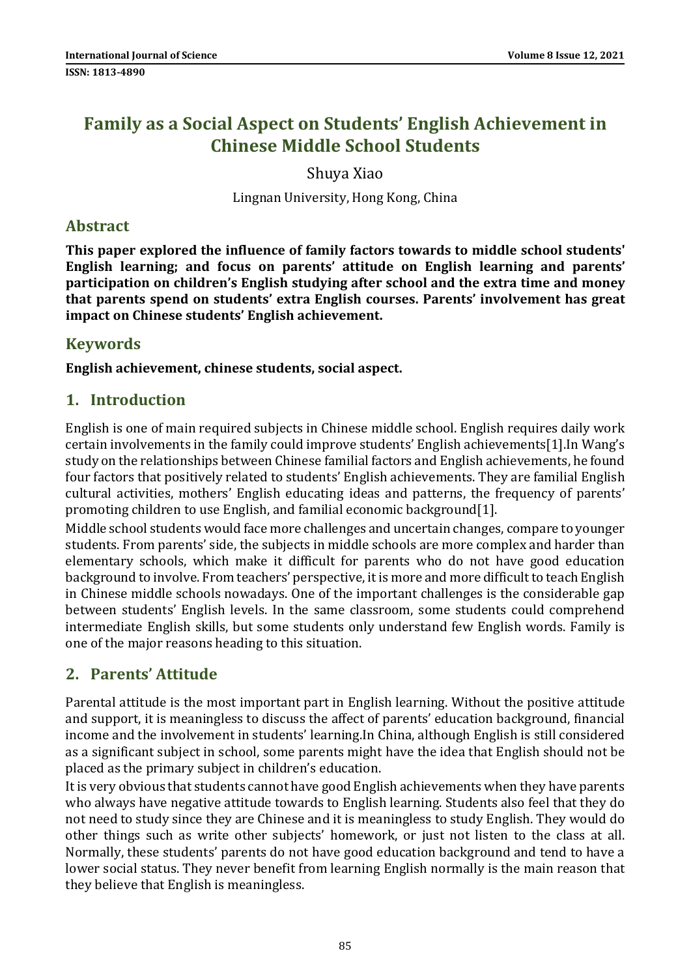# Family as a Social Aspect on Students' English Achievement in Chinese Middle School Students

Shuya Xiao

Lingnan University, Hong Kong, China

### Abstract

This paper explored the influence of family factors towards to middle school students' English learning; and focus on parents' attitude on English learning and parents' participation on children's English studying after school and the extra time and money that parents spend on students' extra English courses. Parents' involvement has great impact on Chinese students' English achievement.

### Keywords

English achievement, chinese students, social aspect.

## 1. Introduction

English is one of main required subjects in Chinese middle school. English requires daily work certain involvements in the family could improve students' English achievements[1].In Wang's study on the relationships between Chinese familial factors and English achievements, he found four factors that positively related to students' English achievements. They are familial English cultural activities, mothers' English educating ideas and patterns, the frequency of parents' promoting children to use English, and familial economic background[1].

Middle school students would face more challenges and uncertain changes, compare to younger students. From parents' side, the subjects in middle schools are more complex and harder than elementary schools, which make it difficult for parents who do not have good education background to involve. From teachers' perspective, it is more and more difficult to teach English in Chinese middle schools nowadays. One of the important challenges is the considerable gap between students' English levels. In the same classroom, some students could comprehend intermediate English skills, but some students only understand few English words. Family is one of the major reasons heading to this situation.

# 2. Parents' Attitude

Parental attitude is the most important part in English learning. Without the positive attitude and support, it is meaningless to discuss the affect of parents' education background, financial income and the involvement in students' learning.In China, although English is still considered as a significant subject in school, some parents might have the idea that English should not be placed as the primary subject in children's education.

It is very obvious that students cannot have good English achievements when they have parents who always have negative attitude towards to English learning. Students also feel that they do not need to study since they are Chinese and it is meaningless to study English. They would do other things such as write other subjects' homework, or just not listen to the class at all. Normally, these students' parents do not have good education background and tend to have a lower social status. They never benefit from learning English normally is the main reason that they believe that English is meaningless.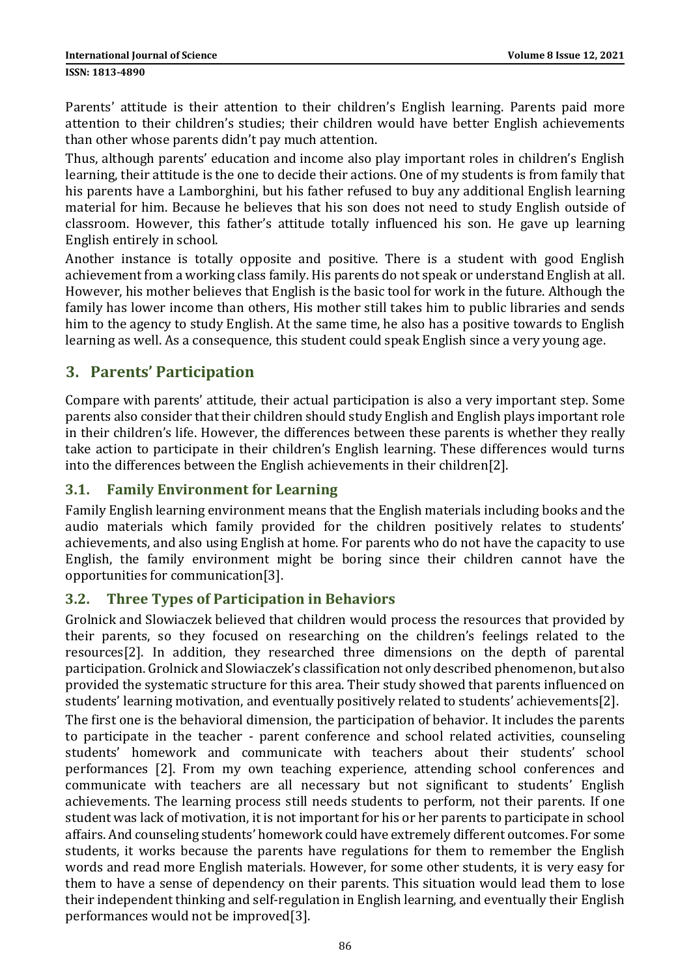Parents' attitude is their attention to their children's English learning. Parents paid more attention to their children's studies; their children would have better English achievements than other whose parents didn't pay much attention.

Thus, although parents' education and income also play important roles in children's English learning, their attitude is the one to decide their actions. One of my students is from family that his parents have a Lamborghini, but his father refused to buy any additional English learning material for him. Because he believes that his son does not need to study English outside of classroom. However, this father's attitude totally influenced his son. He gave up learning English entirely in school.

Another instance is totally opposite and positive. There is a student with good English achievement from a working class family. His parents do not speak or understand English at all. However, his mother believes that English is the basic tool for work in the future. Although the family has lower income than others, His mother still takes him to public libraries and sends him to the agency to study English. At the same time, he also has a positive towards to English learning as well. As a consequence, this student could speak English since a very young age.

# 3. Parents' Participation

Compare with parents' attitude, their actual participation is also a very important step. Some parents also consider that their children should study English and English plays important role in their children's life. However, the differences between these parents is whether they really take action to participate in their children's English learning. These differences would turns into the differences between the English achievements in their children[2].

#### 3.1. Family Environment for Learning

Family English learning environment means that the English materials including books and the audio materials which family provided for the children positively relates to students' achievements, and also using English at home. For parents who do not have the capacity to use English, the family environment might be boring since their children cannot have the opportunities for communication[3].

#### 3.2. Three Types of Participation in Behaviors

Grolnick and Slowiaczek believed that children would process the resources that provided by their parents, so they focused on researching on the children's feelings related to the resources[2]. In addition, they researched three dimensions on the depth of parental participation. Grolnick and Slowiaczek's classification not only described phenomenon, but also provided the systematic structure for this area. Their study showed that parents influenced on students' learning motivation, and eventually positively related to students' achievements[2].

The first one is the behavioral dimension, the participation of behavior. It includes the parents to participate in the teacher - parent conference and school related activities, counseling students' homework and communicate with teachers about their students' school performances [2]. From my own teaching experience, attending school conferences and communicate with teachers are all necessary but not significant to students' English achievements. The learning process still needs students to perform, not their parents. If one student was lack of motivation, it is not important for his or her parents to participate in school affairs. And counseling students' homework could have extremely different outcomes. For some students, it works because the parents have regulations for them to remember the English words and read more English materials. However, for some other students, it is very easy for them to have a sense of dependency on their parents. This situation would lead them to lose their independent thinking and self-regulation in English learning, and eventually their English performances would not be improved[3].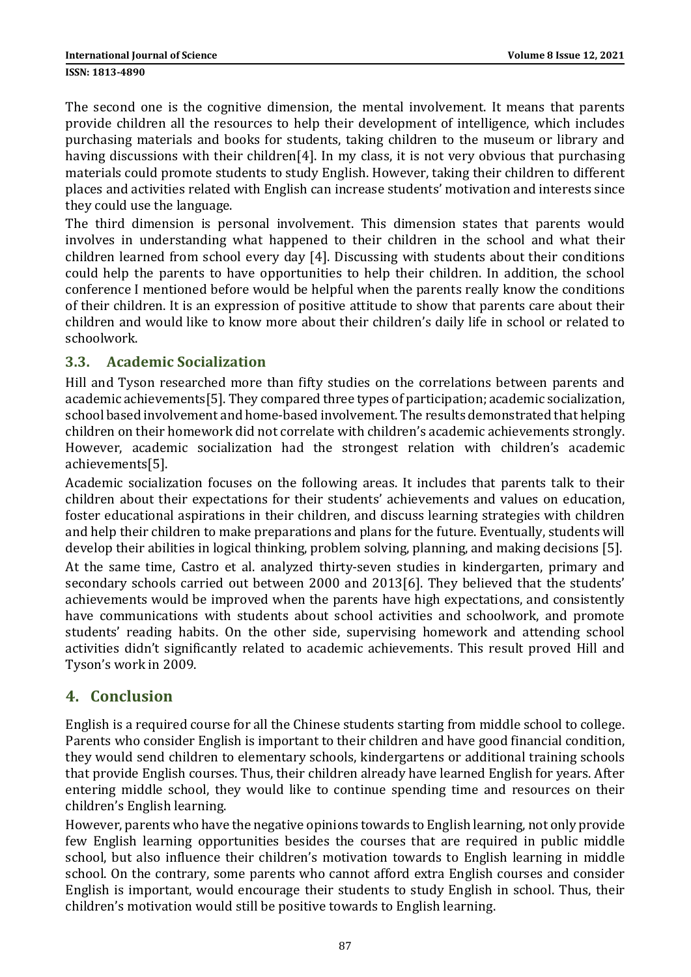The second one is the cognitive dimension, the mental involvement. It means that parents provide children all the resources to help their development of intelligence, which includes purchasing materials and books for students, taking children to the museum or library and having discussions with their children<sup>[4]</sup>. In my class, it is not very obvious that purchasing materials could promote students to study English. However, taking their children to different places and activities related with English can increase students' motivation and interests since they could use the language.

The third dimension is personal involvement. This dimension states that parents would involves in understanding what happened to their children in the school and what their children learned from school every day [4]. Discussing with students about their conditions could help the parents to have opportunities to help their children. In addition, the school conference I mentioned before would be helpful when the parents really know the conditions of their children. It is an expression of positive attitude to show that parents care about their children and would like to know more about their children's daily life in school or related to schoolwork.

### 3.3. Academic Socialization

Hill and Tyson researched more than fifty studies on the correlations between parents and academic achievements[5]. They compared three types of participation; academic socialization, school based involvement and home-based involvement. The results demonstrated that helping children on their homework did not correlate with children's academic achievements strongly. However, academic socialization had the strongest relation with children's academic achievements[5].

Academic socialization focuses on the following areas. It includes that parents talk to their children about their expectations for their students' achievements and values on education, foster educational aspirations in their children, and discuss learning strategies with children and help their children to make preparations and plans for the future. Eventually, students will develop their abilities in logical thinking, problem solving, planning, and making decisions [5].

At the same time, Castro et al. analyzed thirty-seven studies in kindergarten, primary and secondary schools carried out between 2000 and 2013[6]. They believed that the students' achievements would be improved when the parents have high expectations, and consistently have communications with students about school activities and schoolwork, and promote students' reading habits. On the other side, supervising homework and attending school activities didn't significantly related to academic achievements. This result proved Hill and Tyson's work in 2009.

# 4. Conclusion

English is a required course for all the Chinese students starting from middle school to college. Parents who consider English is important to their children and have good financial condition, they would send children to elementary schools, kindergartens or additional training schools that provide English courses. Thus, their children already have learned English for years. After entering middle school, they would like to continue spending time and resources on their children's English learning.

However, parents who have the negative opinions towards to English learning, not only provide few English learning opportunities besides the courses that are required in public middle school, but also influence their children's motivation towards to English learning in middle school. On the contrary, some parents who cannot afford extra English courses and consider English is important, would encourage their students to study English in school. Thus, their children's motivation would still be positive towards to English learning.